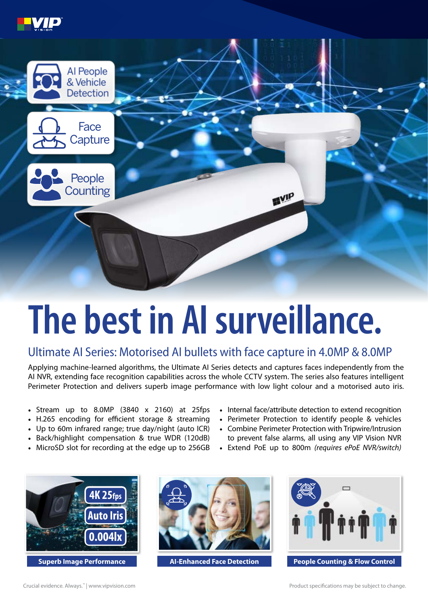



## **The best in AI surveillance.**

## Ultimate AI Series: Motorised AI bullets with face capture in 4.0MP & 8.0MP

Applying machine-learned algorithms, the Ultimate AI Series detects and captures faces independently from the AI NVR, extending face recognition capabilities across the whole CCTV system. The series also features intelligent Perimeter Protection and delivers superb image performance with low light colour and a motorised auto iris.

- Stream up to 8.0MP (3840 x 2160) at 25fps
- H.265 encoding for efficient storage & streaming
- Up to 60m infrared range; true day/night (auto ICR)
- Back/highlight compensation & true WDR (120dB)
- MicroSD slot for recording at the edge up to 256GB
- Internal face/attribute detection to extend recognition
- Perimeter Protection to identify people & vehicles
- Combine Perimeter Protection with Tripwire/Intrusion to prevent false alarms, all using any VIP Vision NVR
- Extend PoE up to 800m *(requires ePoE NVR/switch)*



**Superb Image Performance AI-Enhanced Face Detection**